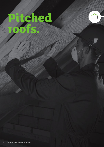# **ched roofs.**